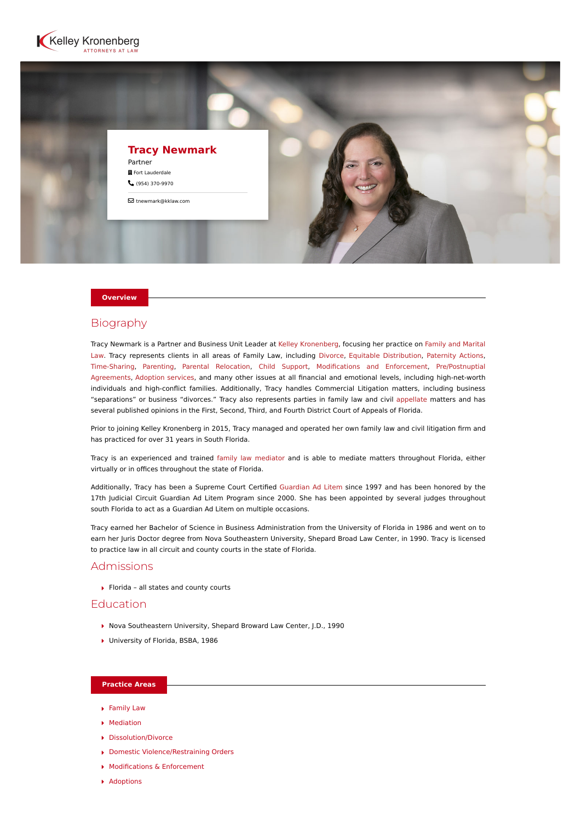



#### **Overview**

# Biography

[Tracy Newmark is a Partner and Business Unit Leader at](https://www.kelleykronenberg.com/our-practices/family-law/) [Kelley Kronenberg](https://www.kelleykronenberg.com/)[, focusing her practice on Family and Marital](https://www.kelleykronenberg.com/our-practices/family-law/) Law. Tracy represents clients in all areas of Family Law, including [Divorce,](https://www.kelleykronenberg.com/our-practices/family-law/dissolution-divorce-lawyers/) [Equitable Distribution](https://www.kelleykronenberg.com/our-practices/family-law/dissolution-divorce/equitable-distribution-lawyers/), [Paternity Actions,](https://www.kelleykronenberg.com/our-practices/family-law/parenting-plans/paternity-actions-lawyers/) [Time-Sharing, Parenting, Parental Relocation, Child Support, Modifications and Enforcement, Pre/Postnuptial](https://www.kelleykronenberg.com/our-practices/family-law/pre-and-postnuptial-agreements-lawyers/) Agreements, [Adoption services](https://www.kelleykronenberg.com/our-practices/family-law/adoptions-lawyers/), and many other issues at all financial and emotional levels, including high-net-worth individuals and high-conflict families. Additionally, Tracy handles Commercial Litigation matters, including business "separations" or business "divorces." Tracy also represents parties in family law and civil [appellate](https://www.kelleykronenberg.com/our-practices/family-law/litigation-and-dispute-resolution/appeals-lawyers/) matters and has several published opinions in the First, Second, Third, and Fourth District Court of Appeals of Florida.

Prior to joining Kelley Kronenberg in 2015, Tracy managed and operated her own family law and civil litigation firm and has practiced for over 31 years in South Florida.

Tracy is an experienced and trained [family law mediator](https://www.kelleykronenberg.com/our-practices/mediation/) and is able to mediate matters throughout Florida, either virtually or in offices throughout the state of Florida.

Additionally, Tracy has been a Supreme Court Certified [Guardian Ad Litem](https://www.kelleykronenberg.com/our-practices/family-law/parenting-plans/guardian-ad-litem-lawyers/) since 1997 and has been honored by the 17th Judicial Circuit Guardian Ad Litem Program since 2000. She has been appointed by several judges throughout south Florida to act as a Guardian Ad Litem on multiple occasions.

Tracy earned her Bachelor of Science in Business Administration from the University of Florida in 1986 and went on to earn her Juris Doctor degree from Nova Southeastern University, Shepard Broad Law Center, in 1990. Tracy is licensed to practice law in all circuit and county courts in the state of Florida.

## Admissions

 $\blacktriangleright$  Florida – all states and county courts

## **Education**

- ▶ Nova Southeastern University, Shepard Broward Law Center, J.D., 1990
- ▶ University of Florida, BSBA, 1986

# **Practice Areas**

- [Family Law](https://www.kelleykronenberg.com/our-practices/family-law/)
- [Mediation](https://www.kelleykronenberg.com/our-practices/mediation/)
- ▶ [Dissolution/Divorce](https://www.kelleykronenberg.com/our-practices/family-law/dissolution-divorce-lawyers/)
- ▶ [Domestic Violence/Restraining Orders](https://www.kelleykronenberg.com/our-practices/family-law/domestic-violence-restraining-orders-lawyers/)
- [Modifications & Enforcement](https://www.kelleykronenberg.com/our-practices/family-law/modifications-and-enforcement-lawyers/)
- **[Adoptions](https://www.kelleykronenberg.com/our-practices/family-law/adoptions-lawyers/)**